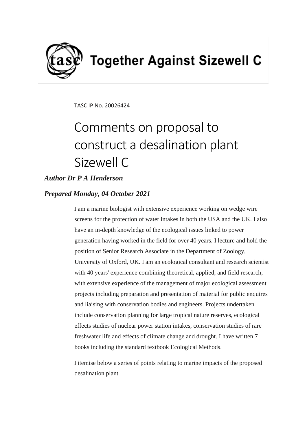

TASC IP No. 20026424

# Comments on proposal to construct a desalination plant Sizewell C

## *Author Dr P A Henderson*

## *Prepared Monday, 04 October 2021*

I am a marine biologist with extensive experience working on wedge wire screens for the protection of water intakes in both the USA and the UK. I also have an in-depth knowledge of the ecological issues linked to power generation having worked in the field for over 40 years. I lecture and hold the position of Senior Research Associate in the Department of Zoology, University of Oxford, UK. I am an ecological consultant and research scientist with 40 years' experience combining theoretical, applied, and field research, with extensive experience of the management of major ecological assessment projects including preparation and presentation of material for public enquires and liaising with conservation bodies and engineers. Projects undertaken include conservation planning for large tropical nature reserves, ecological effects studies of nuclear power station intakes, conservation studies of rare freshwater life and effects of climate change and drought. I have written 7 books including the standard textbook Ecological Methods.

I itemise below a series of points relating to marine impacts of the proposed desalination plant.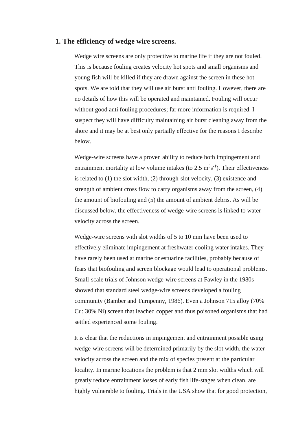#### **1. The efficiency of wedge wire screens.**

Wedge wire screens are only protective to marine life if they are not fouled. This is because fouling creates velocity hot spots and small organisms and young fish will be killed if they are drawn against the screen in these hot spots. We are told that they will use air burst anti fouling. However, there are no details of how this will be operated and maintained. Fouling will occur without good anti fouling procedures; far more information is required. I suspect they will have difficulty maintaining air burst cleaning away from the shore and it may be at best only partially effective for the reasons I describe below.

Wedge-wire screens have a proven ability to reduce both impingement and entrainment mortality at low volume intakes (to  $2.5 \text{ m}^3\text{s}^{-1}$ ). Their effectiveness is related to (1) the slot width, (2) through-slot velocity, (3) existence and strength of ambient cross flow to carry organisms away from the screen, (4) the amount of biofouling and (5) the amount of ambient debris. As will be discussed below, the effectiveness of wedge-wire screens is linked to water velocity across the screen.

Wedge-wire screens with slot widths of 5 to 10 mm have been used to effectively eliminate impingement at freshwater cooling water intakes. They have rarely been used at marine or estuarine facilities, probably because of fears that biofouling and screen blockage would lead to operational problems. Small-scale trials of Johnson wedge-wire screens at Fawley in the 1980s showed that standard steel wedge-wire screens developed a fouling community (Bamber and Turnpenny, 1986). Even a Johnson 715 alloy (70% Cu: 30% Ni) screen that leached copper and thus poisoned organisms that had settled experienced some fouling.

It is clear that the reductions in impingement and entrainment possible using wedge-wire screens will be determined primarily by the slot width, the water velocity across the screen and the mix of species present at the particular locality. In marine locations the problem is that 2 mm slot widths which will greatly reduce entrainment losses of early fish life-stages when clean, are highly vulnerable to fouling. Trials in the USA show that for good protection,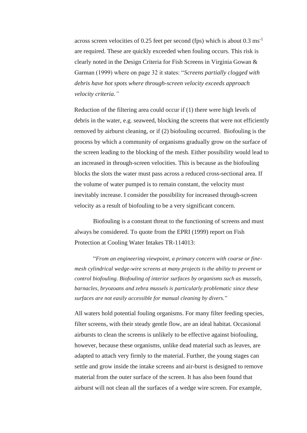across screen velocities of 0.25 feet per second (fps) which is about 0.3 ms-1 are required. These are quickly exceeded when fouling occurs. This risk is clearly noted in the Design Criteria for Fish Screens in Virginia Gowan & Garman (1999) where on page 32 it states: "*Screens partially clogged with debris have hot spots where through-screen velocity exceeds approach velocity criteria."*

Reduction of the filtering area could occur if (1) there were high levels of debris in the water, e.g. seaweed, blocking the screens that were not efficiently removed by airburst cleaning, or if (2) biofouling occurred. Biofouling is the process by which a community of organisms gradually grow on the surface of the screen leading to the blocking of the mesh. Either possibility would lead to an increased in through-screen velocities. This is because as the biofouling blocks the slots the water must pass across a reduced cross-sectional area. If the volume of water pumped is to remain constant, the velocity must inevitably increase. I consider the possibility for increased through-screen velocity as a result of biofouling to be a very significant concern.

Biofouling is a constant threat to the functioning of screens and must always be considered. To quote from the EPRI (1999) report on Fish Protection at Cooling Water Intakes TR-114013:

"*From an engineering viewpoint, a primary concern with coarse or finemesh cylindrical wedge-wire screens at many projects is the ability to prevent or control biofouling. Biofouling of interior surfaces by organisms such as mussels, barnacles, bryozoans and zebra mussels is particularly problematic since these surfaces are not easily accessible for manual cleaning by divers.*"

All waters hold potential fouling organisms. For many filter feeding species, filter screens, with their steady gentle flow, are an ideal habitat. Occasional airbursts to clean the screens is unlikely to be effective against biofouling, however, because these organisms, unlike dead material such as leaves, are adapted to attach very firmly to the material. Further, the young stages can settle and grow inside the intake screens and air-burst is designed to remove material from the outer surface of the screen. It has also been found that airburst will not clean all the surfaces of a wedge wire screen. For example,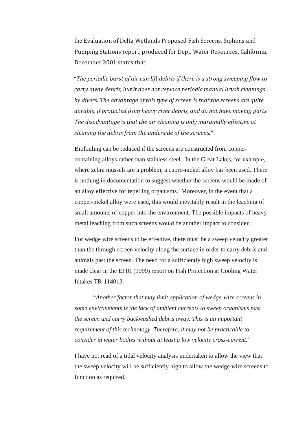the Evaluation of Delta Wetlands Proposed Fish Screens, Siphons and Pumping Stations report, produced for Dept. Water Resources, California, December 2001 states that:

"*The periodic burst of air can lift debris if there is a strong sweeping flow to carry away debris, but it does not replace periodic manual brush cleanings by divers. The advantage of this type of screen is that the screens are quite durable, if protected from heavy river debris, and do not have moving parts. The disadvantage is that the air cleaning is only marginally effective at cleaning the debris from the underside of the screens."*

Biofouling can be reduced if the screens are constructed from coppercontaining alloys rather than stainless steel. In the Great Lakes, for example, where zebra mussels are a problem, a cupro-nickel alloy has been used. There is nothing in documentation to suggest whether the screens would be made of an alloy effective for repelling organisms. Moreover, in the event that a copper-nickel alloy were used, this would inevitably result in the leaching of small amounts of copper into the environment. The possible impacts of heavy metal leaching from such screens would be another impact to consider.

For wedge wire screens to be effective, there must be a sweep velocity greater than the through-screen velocity along the surface in order to carry debris and animals past the screen. The need for a sufficiently high sweep velocity is made clear in the EPRI (1999) report on Fish Protection at Cooling Water Intakes TR-114013:

"*Another factor that may limit application of wedge-wire screens in some environments is the lack of ambient currents to sweep organisms past the screen and carry backwashed debris away. This is an important requirement of this technology. Therefore, it may not be practicable to consider in water bodies without at least a low velocity cross-current.*"

I have not read of a tidal velocity analysis undertaken to allow the view that the sweep velocity will be sufficiently high to allow the wedge wire screens to function as required.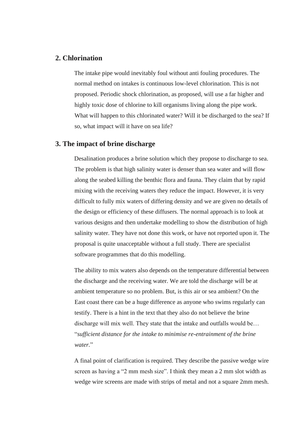#### **2. Chlorination**

The intake pipe would inevitably foul without anti fouling procedures. The normal method on intakes is continuous low-level chlorination. This is not proposed. Periodic shock chlorination, as proposed, will use a far higher and highly toxic dose of chlorine to kill organisms living along the pipe work. What will happen to this chlorinated water? Will it be discharged to the sea? If so, what impact will it have on sea life?

### **3. The impact of brine discharge**

Desalination produces a brine solution which they propose to discharge to sea. The problem is that high salinity water is denser than sea water and will flow along the seabed killing the benthic flora and fauna. They claim that by rapid mixing with the receiving waters they reduce the impact. However, it is very difficult to fully mix waters of differing density and we are given no details of the design or efficiency of these diffusers. The normal approach is to look at various designs and then undertake modelling to show the distribution of high salinity water. They have not done this work, or have not reported upon it. The proposal is quite unacceptable without a full study. There are specialist software programmes that do this modelling.

The ability to mix waters also depends on the temperature differential between the discharge and the receiving water. We are told the discharge will be at ambient temperature so no problem. But, is this air or sea ambient? On the East coast there can be a huge difference as anyone who swims regularly can testify. There is a hint in the text that they also do not believe the brine discharge will mix well. They state that the intake and outfalls would be… "*sufficient distance for the intake to minimise re-entrainment of the brine water.*"

A final point of clarification is required. They describe the passive wedge wire screen as having a "2 mm mesh size". I think they mean a 2 mm slot width as wedge wire screens are made with strips of metal and not a square 2mm mesh.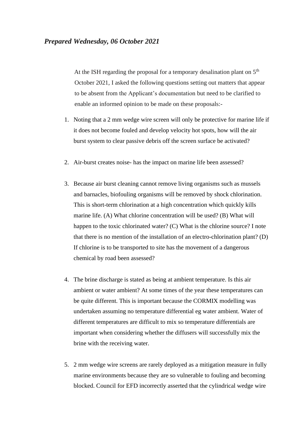At the ISH regarding the proposal for a temporary desalination plant on  $5<sup>th</sup>$ October 2021, I asked the following questions setting out matters that appear to be absent from the Applicant's documentation but need to be clarified to enable an informed opinion to be made on these proposals:-

- 1. Noting that a 2 mm wedge wire screen will only be protective for marine life if it does not become fouled and develop velocity hot spots, how will the air burst system to clear passive debris off the screen surface be activated?
- 2. Air-burst creates noise- has the impact on marine life been assessed?
- 3. Because air burst cleaning cannot remove living organisms such as mussels and barnacles, biofouling organisms will be removed by shock chlorination. This is short-term chlorination at a high concentration which quickly kills marine life. (A) What chlorine concentration will be used? (B) What will happen to the toxic chlorinated water? (C) What is the chlorine source? I note that there is no mention of the installation of an electro-chlorination plant? (D) If chlorine is to be transported to site has the movement of a dangerous chemical by road been assessed?
- 4. The brine discharge is stated as being at ambient temperature. Is this air ambient or water ambient? At some times of the year these temperatures can be quite different. This is important because the CORMIX modelling was undertaken assuming no temperature differential eg water ambient. Water of different temperatures are difficult to mix so temperature differentials are important when considering whether the diffusers will successfully mix the brine with the receiving water.
- 5. 2 mm wedge wire screens are rarely deployed as a mitigation measure in fully marine environments because they are so vulnerable to fouling and becoming blocked. Council for EFD incorrectly asserted that the cylindrical wedge wire